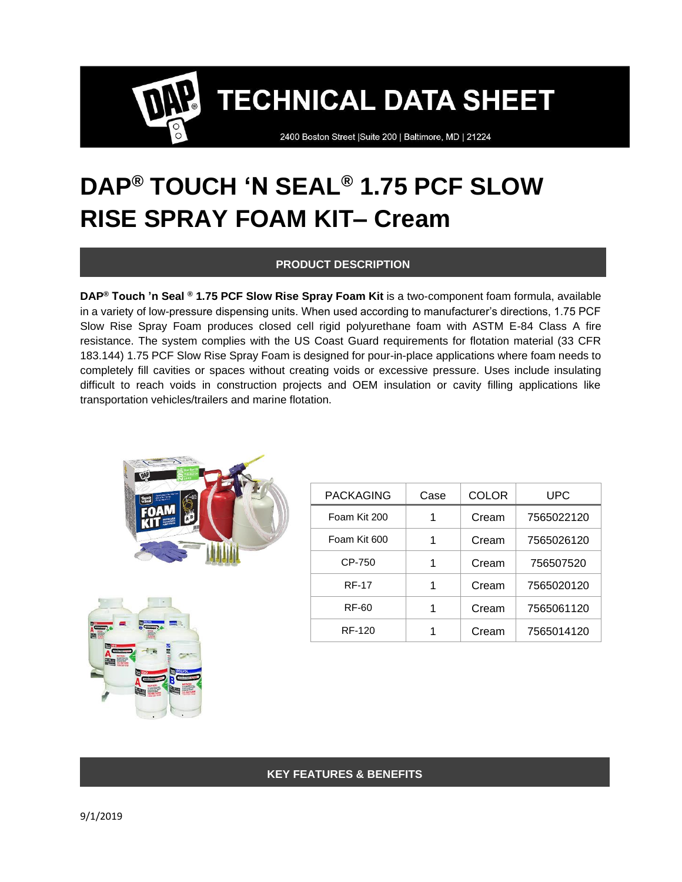2400 Boston Street | Suite 200 | Baltimore, MD | 21224

## **DAP® TOUCH 'N SEAL® 1.75 PCF SLOW RISE SPRAY FOAM KIT– Cream**

### **PRODUCT DESCRIPTION**

**DAP® Touch 'n Seal ® 1.75 PCF Slow Rise Spray Foam Kit** is a two-component foam formula, available in a variety of low-pressure dispensing units. When used according to manufacturer's directions, 1.75 PCF Slow Rise Spray Foam produces closed cell rigid polyurethane foam with ASTM E-84 Class A fire resistance. The system complies with the US Coast Guard requirements for flotation material (33 CFR 183.144) 1.75 PCF Slow Rise Spray Foam is designed for pour-in-place applications where foam needs to completely fill cavities or spaces without creating voids or excessive pressure. Uses include insulating difficult to reach voids in construction projects and OEM insulation or cavity filling applications like transportation vehicles/trailers and marine flotation.





| <b>PACKAGING</b> | Case | <b>COLOR</b> | UPC        |
|------------------|------|--------------|------------|
| Foam Kit 200     |      | Cream        | 7565022120 |
| Foam Kit 600     |      | Cream        | 7565026120 |
| CP-750           |      | Cream        | 756507520  |
| <b>RF-17</b>     |      | Cream        | 7565020120 |
| <b>RF-60</b>     |      | Cream        | 7565061120 |
| RF-120           |      | Cream        | 7565014120 |

## **KEY FEATURES & BENEFITS**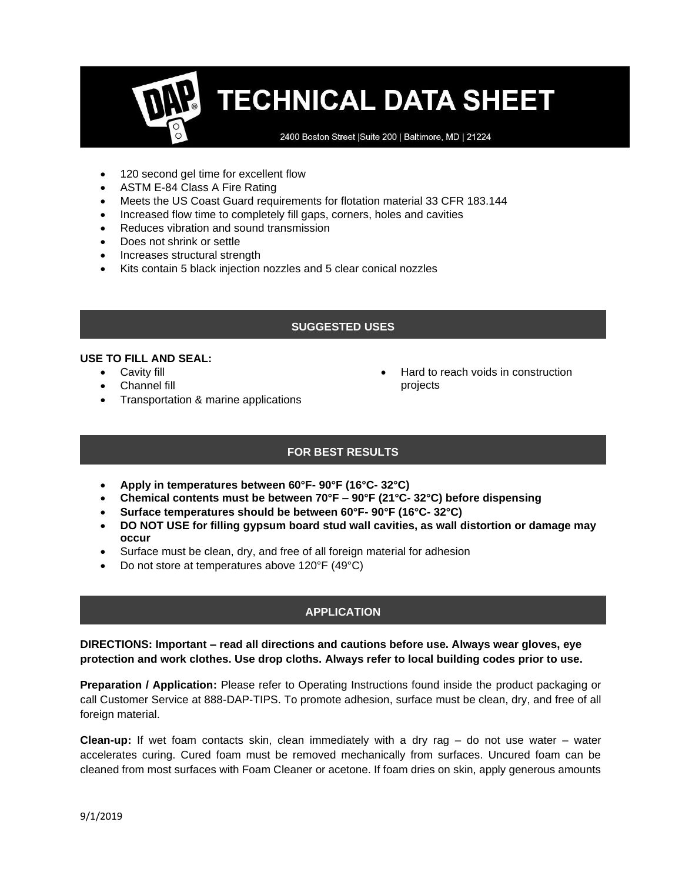2400 Boston Street | Suite 200 | Baltimore, MD | 21224

- 120 second gel time for excellent flow
- ASTM E-84 Class A Fire Rating
- Meets the US Coast Guard requirements for flotation material 33 CFR 183.144
- Increased flow time to completely fill gaps, corners, holes and cavities
- Reduces vibration and sound transmission
- Does not shrink or settle
- Increases structural strength
- Kits contain 5 black injection nozzles and 5 clear conical nozzles

### **SUGGESTED USES**

#### **USE TO FILL AND SEAL:**

- Cavity fill
- Channel fill
- Transportation & marine applications
- Hard to reach voids in construction projects

## **FOR BEST RESULTS**

- **Apply in temperatures between 60°F- 90°F (16°C- 32°C)**
- **Chemical contents must be between 70°F – 90°F (21°C- 32°C) before dispensing**
- **Surface temperatures should be between 60°F- 90°F (16°C- 32°C)**
- **DO NOT USE for filling gypsum board stud wall cavities, as wall distortion or damage may occur**
- Surface must be clean, dry, and free of all foreign material for adhesion
- Do not store at temperatures above 120°F (49°C)

## **APPLICATION**

**DIRECTIONS: Important – read all directions and cautions before use. Always wear gloves, eye protection and work clothes. Use drop cloths. Always refer to local building codes prior to use.** 

**Preparation / Application:** Please refer to Operating Instructions found inside the product packaging or call Customer Service at 888-DAP-TIPS. To promote adhesion, surface must be clean, dry, and free of all foreign material.

**Clean-up:** If wet foam contacts skin, clean immediately with a dry rag – do not use water – water accelerates curing. Cured foam must be removed mechanically from surfaces. Uncured foam can be cleaned from most surfaces with Foam Cleaner or acetone. If foam dries on skin, apply generous amounts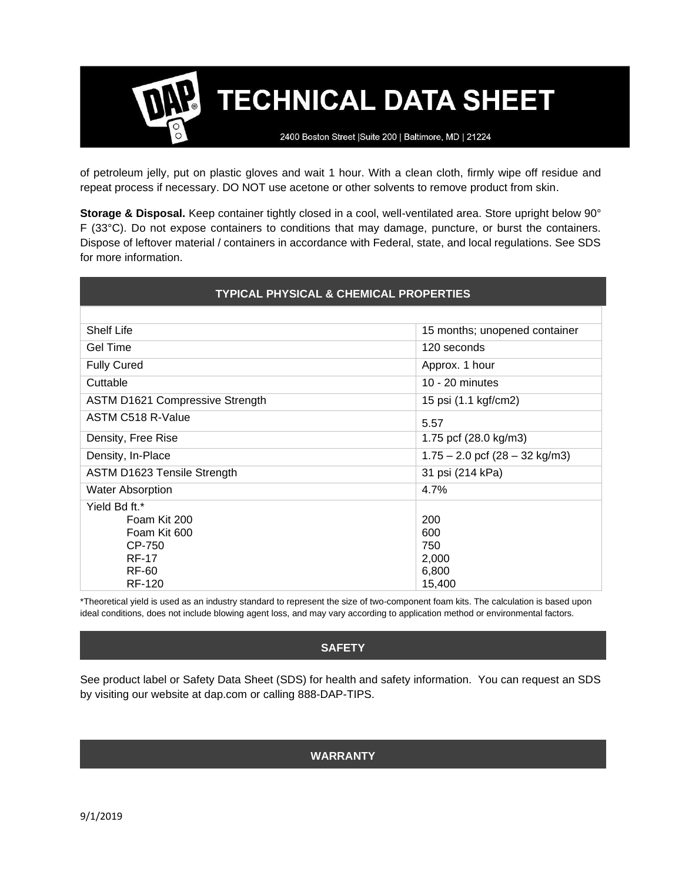2400 Boston Street | Suite 200 | Baltimore, MD | 21224

of petroleum jelly, put on plastic gloves and wait 1 hour. With a clean cloth, firmly wipe off residue and repeat process if necessary. DO NOT use acetone or other solvents to remove product from skin.

**Storage & Disposal.** Keep container tightly closed in a cool, well-ventilated area. Store upright below 90° F (33°C). Do not expose containers to conditions that may damage, puncture, or burst the containers. Dispose of leftover material / containers in accordance with Federal, state, and local regulations. See SDS for more information.

| <b>TYPICAL PHYSICAL &amp; CHEMICAL PROPERTIES</b> |                                  |  |  |
|---------------------------------------------------|----------------------------------|--|--|
|                                                   |                                  |  |  |
| <b>Shelf Life</b>                                 | 15 months; unopened container    |  |  |
| Gel Time                                          | 120 seconds                      |  |  |
| <b>Fully Cured</b>                                | Approx. 1 hour                   |  |  |
| Cuttable                                          | $10 - 20$ minutes                |  |  |
| <b>ASTM D1621 Compressive Strength</b>            | 15 psi (1.1 kgf/cm2)             |  |  |
| ASTM C518 R-Value                                 | 5.57                             |  |  |
| Density, Free Rise                                | 1.75 pcf (28.0 kg/m3)            |  |  |
| Density, In-Place                                 | $1.75 - 2.0$ pcf (28 - 32 kg/m3) |  |  |
| ASTM D1623 Tensile Strength                       | 31 psi (214 kPa)                 |  |  |
| <b>Water Absorption</b>                           | 4.7%                             |  |  |
| Yield Bd ft.*                                     |                                  |  |  |
| Foam Kit 200                                      | 200                              |  |  |
| Foam Kit 600                                      | 600                              |  |  |
| CP-750                                            | 750                              |  |  |
| <b>RF-17</b>                                      | 2,000                            |  |  |
| <b>RF-60</b>                                      | 6,800                            |  |  |
| <b>RF-120</b>                                     | 15,400                           |  |  |

\*Theoretical yield is used as an industry standard to represent the size of two-component foam kits. The calculation is based upon ideal conditions, does not include blowing agent loss, and may vary according to application method or environmental factors.

#### **SAFETY**

See product label or Safety Data Sheet (SDS) for health and safety information. You can request an SDS by visiting our website at dap.com or calling 888-DAP-TIPS.

#### **WARRANTY**